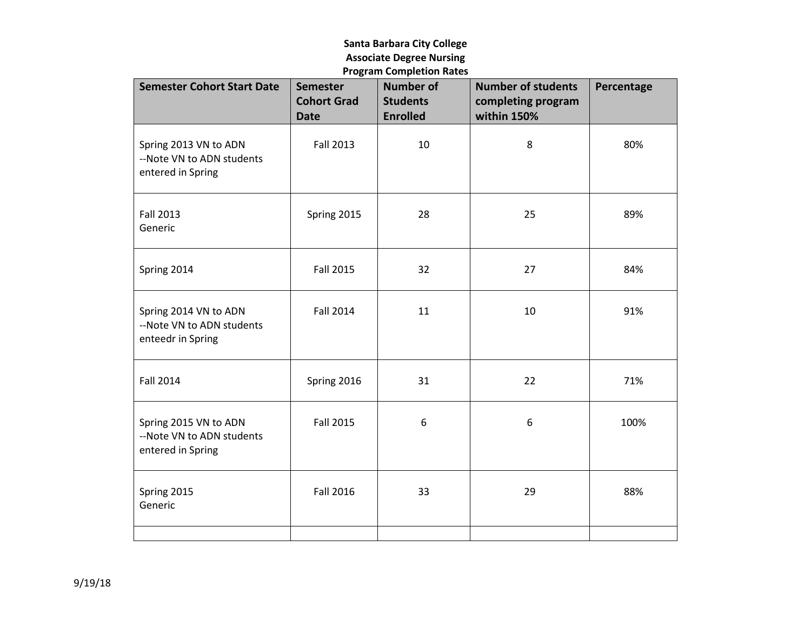## **Santa Barbara City College Associate Degree Nursing Program Completion Rates**

| <b>Semester Cohort Start Date</b>                                       | <b>Semester</b><br><b>Cohort Grad</b><br><b>Date</b> | <b>Number of</b><br><b>Students</b><br><b>Enrolled</b> | <b>Number of students</b><br>completing program<br>within 150% | Percentage |
|-------------------------------------------------------------------------|------------------------------------------------------|--------------------------------------------------------|----------------------------------------------------------------|------------|
| Spring 2013 VN to ADN<br>--Note VN to ADN students<br>entered in Spring | <b>Fall 2013</b>                                     | 10                                                     | 8                                                              | 80%        |
| <b>Fall 2013</b><br>Generic                                             | Spring 2015                                          | 28                                                     | 25                                                             | 89%        |
| Spring 2014                                                             | <b>Fall 2015</b>                                     | 32                                                     | 27                                                             | 84%        |
| Spring 2014 VN to ADN<br>--Note VN to ADN students<br>enteedr in Spring | <b>Fall 2014</b>                                     | 11                                                     | 10                                                             | 91%        |
| <b>Fall 2014</b>                                                        | Spring 2016                                          | 31                                                     | 22                                                             | 71%        |
| Spring 2015 VN to ADN<br>--Note VN to ADN students<br>entered in Spring | <b>Fall 2015</b>                                     | 6                                                      | 6                                                              | 100%       |
| Spring 2015<br>Generic                                                  | <b>Fall 2016</b>                                     | 33                                                     | 29                                                             | 88%        |
|                                                                         |                                                      |                                                        |                                                                |            |